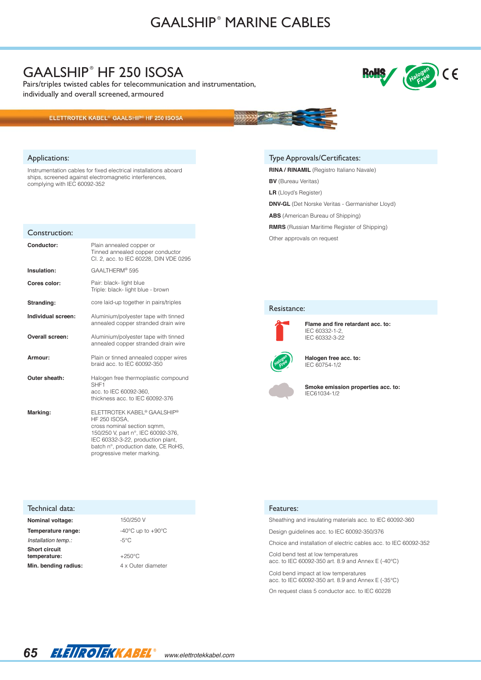# GAALSHIP<sup>®</sup> MARINE CABLES

### GAALSHIP<sup>®</sup> HF 250 ISOSA

Pairs/triples twisted cables for telecommunication and instrumentation, individually and overall screened, armoured

#### ELETTROTEK KABEL® GAALSHIP® HF 250 ISOSA

#### Applications:

Instrumentation cables for fixed electrical installations aboard ships, screened against electromagnetic interferences, complying with IEC 60092-352

| Construction:      |                                                                                                                                                                                                                                    |
|--------------------|------------------------------------------------------------------------------------------------------------------------------------------------------------------------------------------------------------------------------------|
| Conductor:         | Plain annealed copper or<br>Tinned annealed copper conductor<br>Cl. 2, acc. to IEC 60228, DIN VDE 0295                                                                                                                             |
| Insulation:        | GAALTHERM® 595                                                                                                                                                                                                                     |
| Cores color:       | Pair: black- light blue<br>Triple: black- light blue - brown                                                                                                                                                                       |
| Stranding:         | core laid-up together in pairs/triples                                                                                                                                                                                             |
| Individual screen: | Aluminium/polyester tape with tinned<br>annealed copper stranded drain wire                                                                                                                                                        |
| Overall screen:    | Aluminium/polyester tape with tinned<br>annealed copper stranded drain wire                                                                                                                                                        |
| Armour:            | Plain or tinned annealed copper wires<br>braid acc. to IEC 60092-350                                                                                                                                                               |
| Outer sheath:      | Halogen free thermoplastic compound<br>SHF <sub>1</sub><br>acc. to IEC 60092-360.<br>thickness acc. to IEC 60092-376                                                                                                               |
| Marking:           | ELETTROTEK KABEL® GAALSHIP®<br><b>HF 250 ISOSA.</b><br>cross nominal section sqmm,<br>150/250 V, part n°, IEC 60092-376,<br>IEC 60332-3-22, production plant.<br>batch n°, production date, CE RoHS,<br>progressive meter marking. |

#### Type Approvals/Certificates:

**RINA / RINAMIL** (Registro Italiano Navale)

**BV** (Bureau Veritas)

**LR** (Lloyd's Register)

**DNV-GL** (Det Norske Veritas - Germanisher Lloyd)

**ABS** (American Bureau of Shipping)

**RMRS** (Russian Maritime Register of Shipping)

Other approvals on request

### Resistance:



**Flame and fire retardant acc. to:** IEC 60332-1-2, IEC 60332-3-22



**Halogen free acc. to:** IEC 60754-1/2



**Smoke emission properties acc. to:** IEC61034-1/2

#### Features:

Sheathing and insulating materials acc. to IEC 60092-360

Design guidelines acc. to IEC 60092-350/376

Choice and installation of electric cables acc. to IEC 60092-352

Cold bend test at low temperatures acc. to IEC 60092-350 art. 8.9 and Annex E (-40°C)

Cold bend impact at low temperatures acc. to IEC 60092-350 art. 8.9 and Annex E (-35°C)

On request class 5 conductor acc. to IEC 60228



**Nominal voltage:** 150/250 V **Temperature range:**  $-40^{\circ}$ C up to  $+90^{\circ}$ C

*Installation temp.:*  $-5^{\circ}$ C

**temperature:** +250°C

**Min. bending radius:**  $4 \times$  Outer diameter

Technical data:

**Short circuit** 

*www.elettrotekkabel.com*

 $\epsilon$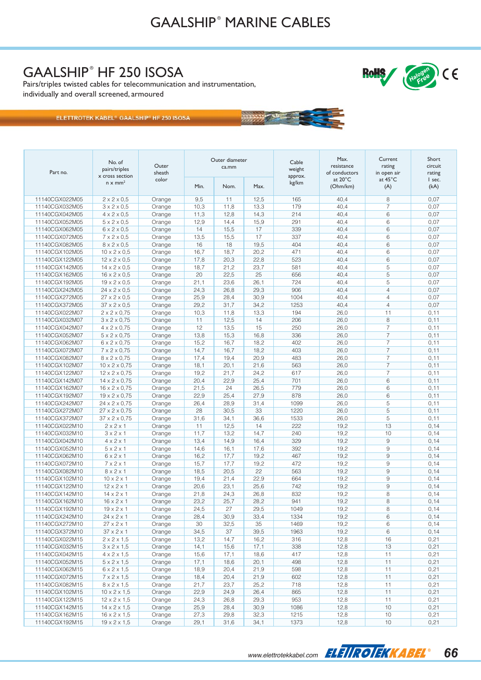**WEBSTANDS** 

## GAALSHIP<sup>®</sup> HF 250 ISOSA

Pairs/triples twisted cables for telecommunication and instrumentation, individually and overall screened, armoured

ELETTROTEK KABEL® GAALSHIP® HF 250 ISOSA

| Part no.                         | No. of<br>pairs/triples<br>x cross section       | Outer<br>sheath  | Outer diameter<br>ca.mm |              |              | Cable<br>weight<br>approx. | Max.<br>resistance<br>of conductors | Current<br>rating<br>in open air | Short<br>circuit<br>rating |
|----------------------------------|--------------------------------------------------|------------------|-------------------------|--------------|--------------|----------------------------|-------------------------------------|----------------------------------|----------------------------|
|                                  | $n \times mm^2$                                  | color            | Min.                    | Nom.         | Max.         | kg/km                      | at $20^{\circ}$ C<br>(Ohm/km)       | at 45°C<br>(A)                   | I sec.<br>(kA)             |
| 11140CGX022M05                   | $2 \times 2 \times 0.5$                          | Orange           | 9,5                     | 11           | 12,5         | 165                        | 40,4                                | 8                                | 0.07                       |
| 11140CGX032M05                   | $3 \times 2 \times 0.5$                          | Orange           | 10,3                    | 11,8         | 13,3         | 179                        | 40,4                                | $\overline{7}$                   | 0.07                       |
| 11140CGX042M05                   | $4 \times 2 \times 0.5$                          | Orange           | 11,3                    | 12,8         | 14,3         | 214                        | 40,4                                | 6                                | 0,07                       |
| 11140CGX052M05                   | $5 \times 2 \times 0.5$                          | Orange           | 12,9                    | 14,4         | 15,9         | 291                        | 40,4                                | 6                                | 0,07                       |
| 11140CGX062M05                   | $6 \times 2 \times 0.5$                          | Orange           | 14                      | 15,5         | 17           | 339                        | 40,4                                | 6                                | 0,07                       |
| 11140CGX072M05                   | $7 \times 2 \times 0.5$                          | Orange           | 13,5                    | 15,5         | 17           | 337                        | 40,4                                | 6                                | 0.07                       |
| 11140CGX082M05                   | $8 \times 2 \times 0.5$                          | Orange           | 16                      | 18           | 19,5         | 404                        | 40,4                                | 6                                | 0,07                       |
| 11140CGX102M05                   | $10 \times 2 \times 0.5$                         | Orange           | 16,7                    | 18,7         | 20,2         | 471                        | 40,4                                | 6                                | 0,07                       |
| 11140CGX122M05                   | $12 \times 2 \times 0.5$                         | Orange           | 17,8                    | 20,3         | 22,8         | 523                        | 40,4                                | 6                                | 0,07                       |
| 11140CGX142M05                   | $14 \times 2 \times 0.5$                         | Orange           | 18,7                    | 21,2         | 23,7         | 581                        | 40,4                                | 5                                | 0.07                       |
| 11140CGX162M05                   | $16 \times 2 \times 0.5$                         | Orange           | 20                      | 22,5         | 25           | 656                        | 40,4                                | 5                                | 0,07                       |
| 11140CGX192M05                   | $19 \times 2 \times 0.5$                         | Orange           | 21,1                    | 23,6         | 26,1         | 724                        | 40,4                                | 5                                | 0,07                       |
| 11140CGX242M05                   | $24 \times 2 \times 0.5$                         | Orange           | 24,3                    | 26,8         | 29,3         | 906                        | 40,4                                | $\overline{4}$                   | 0,07                       |
| 11140CGX272M05                   | $27 \times 2 \times 0.5$                         | Orange           | 25,9                    | 28,4         | 30,9         | 1004                       | 40,4                                | $\overline{4}$                   | 0.07                       |
| 11140CGX372M05                   | $37 \times 2 \times 0.5$                         | Orange           | 29,2                    | 31,7         | 34,2         | 1253                       | 40,4                                | $\overline{4}$                   | 0,07                       |
| 11140CGX022M07                   | $2 \times 2 \times 0,75$                         | Orange           | 10,3                    | 11,8         | 13,3         | 194                        | 26,0                                | 11                               | 0,11                       |
| 11140CGX032M07                   | $3 \times 2 \times 0,75$                         | Orange           | 11                      | 12,5         | 14           | 206                        | 26,0                                | 8                                | 0,11                       |
| 11140CGX042M07                   | $4 \times 2 \times 0,75$                         | Orange           | 12                      | 13,5         | 15           | 250                        | 26,0                                | $\overline{7}$                   | 0, 11                      |
| 11140CGX052M07                   | $5 \times 2 \times 0,75$                         | Orange           | 13,8                    | 15,3         | 16,8         | 336                        | 26,0                                | 7                                | 0, 11                      |
| 11140CGX062M07                   | $6 \times 2 \times 0,75$                         | Orange           | 15,2                    | 16,7         | 18,2         | 402                        | 26,0                                | $\overline{7}$                   | 0, 11                      |
| 11140CGX072M07                   | $7 \times 2 \times 0,75$                         | Orange           | 14,7                    | 16,7         | 18,2         | 403                        | 26,0                                | $\overline{7}$                   | 0, 11                      |
| 11140CGX082M07                   | $8 \times 2 \times 0,75$                         | Orange           | 17,4                    | 19,4         | 20,9         | 483                        | 26,0                                | 7                                | 0,11                       |
| 11140CGX102M07                   | $10 \times 2 \times 0,75$                        | Orange           | 18,1                    | 20,1         | 21,6         | 563                        | 26,0                                | $\overline{7}$                   | 0,11                       |
| 11140CGX122M07                   | $12 \times 2 \times 0,75$                        | Orange           | 19,2                    | 21,7         | 24,2         | 617                        | 26,0                                | $\overline{7}$                   | 0,11                       |
| 11140CGX142M07                   | $14 \times 2 \times 0,75$                        | Orange           | 20,4                    | 22,9         | 25,4         | 701                        | 26,0                                | 6                                | 0,11                       |
| 11140CGX162M07                   | $16 \times 2 \times 0,75$                        | Orange           | 21,5                    | 24           | 26,5         | 779                        | 26,0                                | 6                                | 0,11                       |
| 11140CGX192M07                   | $19 \times 2 \times 0,75$                        | Orange           | 22,9                    | 25,4         | 27,9         | 878                        | 26,0                                | 6                                | 0,11                       |
| 11140CGX242M07                   | 24 x 2 x 0,75                                    | Orange           | 26,4                    | 28,9         | 31,4         | 1099                       | 26,0                                | 5                                | 0, 11                      |
| 11140CGX272M07                   | $27 \times 2 \times 0,75$                        | Orange           | 28                      | 30,5         | 33           | 1220                       | 26,0                                | 5                                | 0, 11                      |
| 11140CGX372M07                   | $37 \times 2 \times 0,75$                        | Orange           | 31,6                    | 34,1         | 36,6         | 1533                       | 26,0                                | 5                                | 0,11                       |
| 11140CGX022M10                   | $2 \times 2 \times 1$                            | Orange           | 11                      | 12,5         | 14           | 222                        | 19,2                                | 13                               | 0,14                       |
| 11140CGX032M10                   | $3 \times 2 \times 1$                            | Orange           | 11,7                    | 13,2         | 14,7         | 240                        | 19,2                                | 10                               | 0, 14                      |
| 11140CGX042M10                   | $4 \times 2 \times 1$                            | Orange           | 13,4                    | 14,9         | 16,4         | 329                        | 19,2                                | 9                                | 0,14                       |
| 11140CGX052M10                   | $5 \times 2 \times 1$                            | Orange           | 14,6                    | 16,1         | 17,6         | 392                        | 19,2                                | 9                                | 0,14                       |
| 11140CGX062M10                   | $6 \times 2 \times 1$                            | Orange           | 16,2                    | 17,7         | 19,2         | 467                        | 19,2                                | 9                                | 0,14                       |
| 11140CGX072M10                   | $7 \times 2 \times 1$                            | Orange           | 15,7                    | 17,7         | 19,2         | 472                        | 19,2                                | 9                                | 0, 14                      |
| 11140CGX082M10                   | $8 \times 2 \times 1$                            | Orange           | 18,5                    | 20,5         | 22           | 563                        | 19,2                                | 9                                | 0, 14                      |
| 11140CGX102M10                   | $10 \times 2 \times 1$                           | Orange           | 19,4                    | 21,4         | 22,9         | 664                        | 19,2                                | 9                                | 0, 14                      |
| 11140CGX122M10                   | $12 \times 2 \times 1$                           | Orange           | 20,6                    | 23,1         | 25,6         | 742<br>832                 | 19,2                                | 9                                | 0, 14                      |
| 11140CGX142M10                   | $14 \times 2 \times 1$<br>$16 \times 2 \times 1$ | Orange           | 21,8<br>23,2            | 24,3<br>25,7 | 26,8<br>28,2 | 941                        | 19,2<br>19,2                        | 8<br>8                           | 0, 14<br>0,14              |
| 11140CGX162M10                   | $19 \times 2 \times 1$                           | Orange           | 24,5                    | 27           | 29,5         | 1049                       | 19,2                                | 8                                | 0, 14                      |
| 11140CGX192M10<br>11140CGX242M10 | $24 \times 2 \times 1$                           | Orange<br>Orange | 28,4                    | 30,9         | 33,4         | 1334                       | 19,2                                | 6                                | 0,14                       |
| 11140CGX272M10                   | $27 \times 2 \times 1$                           | Orange           | 30                      | 32,5         | 35           | 1469                       | 19,2                                | 6                                | 0, 14                      |
| 11140CGX372M10                   | $37 \times 2 \times 1$                           | Orange           | 34,5                    | 37           | 39,5         | 1963                       | 19,2                                | 6                                | 0,14                       |
| 11140CGX022M15                   | $2 \times 2 \times 1,5$                          | Orange           | 13,2                    | 14,7         | 16,2         | 316                        | 12,8                                | 16                               | 0,21                       |
| 11140CGX032M15                   | $3 \times 2 \times 1,5$                          | Orange           | 14,1                    | 15,6         | 17,1         | 338                        | 12,8                                | $13$                             | 0,21                       |
| 11140CGX042M15                   | $4 \times 2 \times 1,5$                          | Orange           | 15,6                    | 17,1         | 18,6         | 417                        | 12,8                                | 11                               | 0,21                       |
| 11140CGX052M15                   | $5 \times 2 \times 1,5$                          | Orange           | 17,1                    | 18,6         | 20,1         | 498                        | 12,8                                | 11                               | 0,21                       |
| 11140CGX062M15                   | $6 \times 2 \times 1,5$                          | Orange           | 18,9                    | 20,4         | 21,9         | 598                        | 12,8                                | 11                               | 0,21                       |
| 11140CGX072M15                   | $7 \times 2 \times 1,5$                          | Orange           | 18,4                    | 20,4         | 21,9         | 602                        | 12,8                                | 11                               | 0,21                       |
| 11140CGX082M15                   | $8 \times 2 \times 1,5$                          | Orange           | 21,7                    | 23,7         | 25,2         | 718                        | 12,8                                | 11                               | 0,21                       |
| 11140CGX102M15                   | $10 \times 2 \times 1,5$                         | Orange           | 22,9                    | 24,9         | 26,4         | 865                        | 12,8                                | 11                               | 0,21                       |
| 11140CGX122M15                   | $12 \times 2 \times 1,5$                         | Orange           | 24,3                    | 26,8         | 29,3         | 953                        | 12,8                                | 11                               | 0,21                       |
| 11140CGX142M15                   | $14 \times 2 \times 1.5$                         | Orange           | 25,9                    | 28,4         | 30,9         | 1086                       | 12,8                                | $10$                             | 0,21                       |
| 11140CGX162M15                   | $16 \times 2 \times 1,5$                         | Orange           | 27,3                    | 29,8         | 32,3         | 1215                       | 12,8                                | $10$                             | 0,21                       |
| 11140CGX192M15                   | $19 \times 2 \times 1,5$                         | Orange           | 29,1                    | 31,6         | 34,1         | 1373                       | 12,8                                | 10                               | 0,21                       |



 $\int$ 

RoHS Halogen